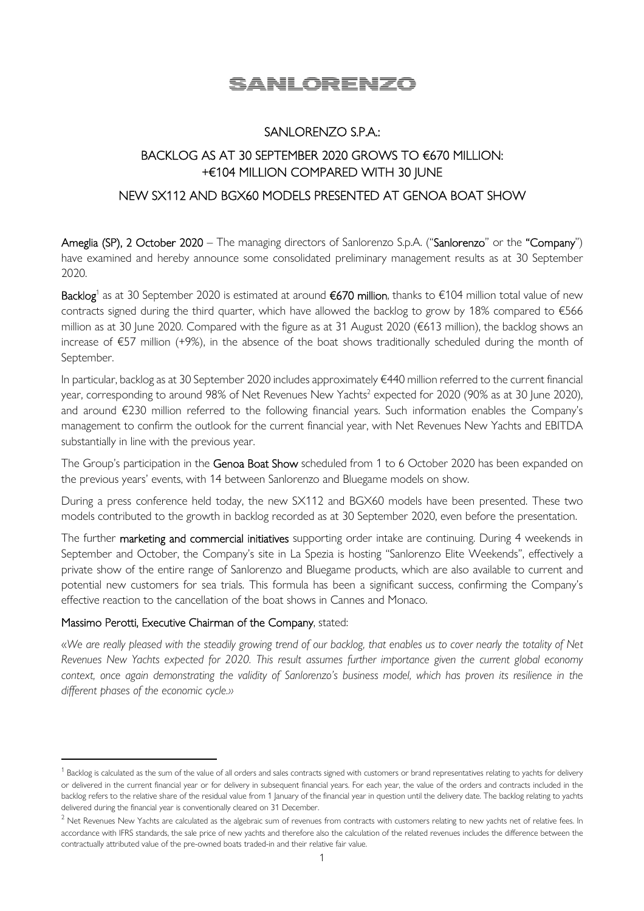# SANLORENZO

## SANLORENZO S.P.A.:

# BACKLOG AS AT 30 SEPTEMBER 2020 GROWS TO €670 MILLION: +€104 MILLION COMPARED WITH 30 JUNE

## NEW SX112 AND BGX60 MODELS PRESENTED AT GENOA BOAT SHOW

Ameglia (SP), 2 October 2020 – The managing directors of Sanlorenzo S.p.A. ("Sanlorenzo" or the "Company") have examined and hereby announce some consolidated preliminary management results as at 30 September 2020.

Backlog<sup>1</sup> as at 30 September 2020 is estimated at around €670 million, thanks to €104 million total value of new contracts signed during the third quarter, which have allowed the backlog to grow by 18% compared to €566 million as at 30 June 2020. Compared with the figure as at 31 August 2020 (€613 million), the backlog shows an increase of €57 million (+9%), in the absence of the boat shows traditionally scheduled during the month of September.

In particular, backlog as at 30 September 2020 includes approximately €440 million referred to the current financial year, corresponding to around 98% of Net Revenues New Yachts<sup>2</sup> expected for 2020 (90% as at 30 June 2020), and around €230 million referred to the following financial years. Such information enables the Company's management to confirm the outlook for the current financial year, with Net Revenues New Yachts and EBITDA substantially in line with the previous year.

The Group's participation in the Genoa Boat Show scheduled from 1 to 6 October 2020 has been expanded on the previous years' events, with 14 between Sanlorenzo and Bluegame models on show.

During a press conference held today, the new SX112 and BGX60 models have been presented. These two models contributed to the growth in backlog recorded as at 30 September 2020, even before the presentation.

The further marketing and commercial initiatives supporting order intake are continuing. During 4 weekends in September and October, the Company's site in La Spezia is hosting "Sanlorenzo Elite Weekends", effectively a private show of the entire range of Sanlorenzo and Bluegame products, which are also available to current and potential new customers for sea trials. This formula has been a significant success, confirming the Company's effective reaction to the cancellation of the boat shows in Cannes and Monaco.

### Massimo Perotti, Executive Chairman of the Company, stated:

«*We are really pleased with the steadily growing trend of our backlog, that enables us to cover nearly the totality of Net Revenues New Yachts expected for 2020. This result assumes further importance given the current global economy context, once again demonstrating the validity of Sanlorenzo's business model, which has proven its resilience in the different phases of the economic cycle.»* 

 $^{\rm 1}$  Backlog is calculated as the sum of the value of all orders and sales contracts signed with customers or brand representatives relating to yachts for delivery or delivered in the current financial year or for delivery in subsequent financial years. For each year, the value of the orders and contracts included in the backlog refers to the relative share of the residual value from 1 January of the financial year in question until the delivery date. The backlog relating to yachts delivered during the financial year is conventionally cleared on 31 December.

 $^2$  Net Revenues New Yachts are calculated as the algebraic sum of revenues from contracts with customers relating to new yachts net of relative fees. In accordance with IFRS standards, the sale price of new yachts and therefore also the calculation of the related revenues includes the difference between the contractually attributed value of the pre-owned boats traded-in and their relative fair value.